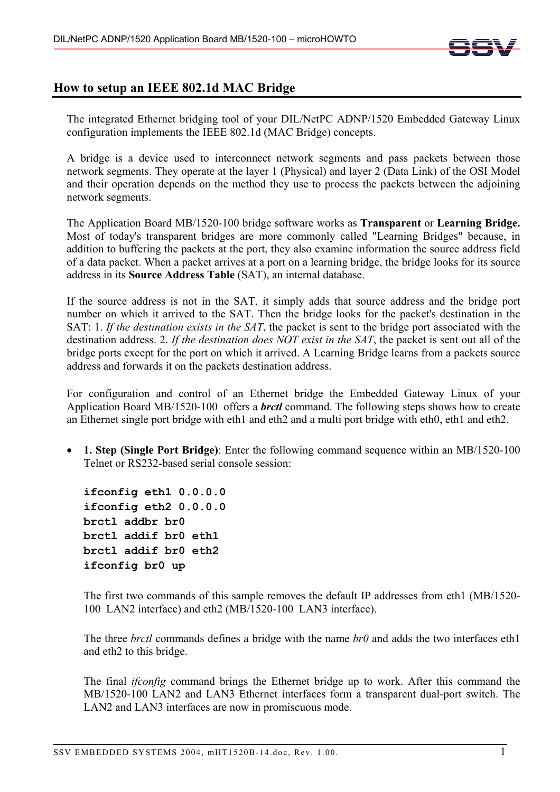

## **How to setup an IEEE 802.1d MAC Bridge**

The integrated Ethernet bridging tool of your DIL/NetPC ADNP/1520 Embedded Gateway Linux configuration implements the IEEE 802.1d (MAC Bridge) concepts.

A bridge is a device used to interconnect network segments and pass packets between those network segments. They operate at the layer 1 (Physical) and layer 2 (Data Link) of the OSI Model and their operation depends on the method they use to process the packets between the adjoining network segments.

The Application Board MB/1520-100 bridge software works as **Transparent** or **Learning Bridge.**  Most of today's transparent bridges are more commonly called "Learning Bridges" because, in addition to buffering the packets at the port, they also examine information the source address field of a data packet. When a packet arrives at a port on a learning bridge, the bridge looks for its source address in its **Source Address Table** (SAT), an internal database.

If the source address is not in the SAT, it simply adds that source address and the bridge port number on which it arrived to the SAT. Then the bridge looks for the packet's destination in the SAT: 1. *If the destination exists in the SAT*, the packet is sent to the bridge port associated with the destination address. 2. *If the destination does NOT exist in the SAT*, the packet is sent out all of the bridge ports except for the port on which it arrived. A Learning Bridge learns from a packets source address and forwards it on the packets destination address.

For configuration and control of an Ethernet bridge the Embedded Gateway Linux of your Application Board MB/1520-100 offers a *brctl* command. The following steps shows how to create an Ethernet single port bridge with eth1 and eth2 and a multi port bridge with eth0, eth1 and eth2.

• **1. Step (Single Port Bridge)**: Enter the following command sequence within an MB/1520-100 Telnet or RS232-based serial console session:

**ifconfig eth1 0.0.0.0 ifconfig eth2 0.0.0.0 brctl addbr br0 brctl addif br0 eth1 brctl addif br0 eth2 ifconfig br0 up** 

The first two commands of this sample removes the default IP addresses from eth1 (MB/1520- 100 LAN2 interface) and eth2 (MB/1520-100 LAN3 interface).

The three *brctl* commands defines a bridge with the name *br0* and adds the two interfaces eth1 and eth2 to this bridge.

The final *ifconfig* command brings the Ethernet bridge up to work. After this command the MB/1520-100 LAN2 and LAN3 Ethernet interfaces form a transparent dual-port switch. The LAN2 and LAN3 interfaces are now in promiscuous mode.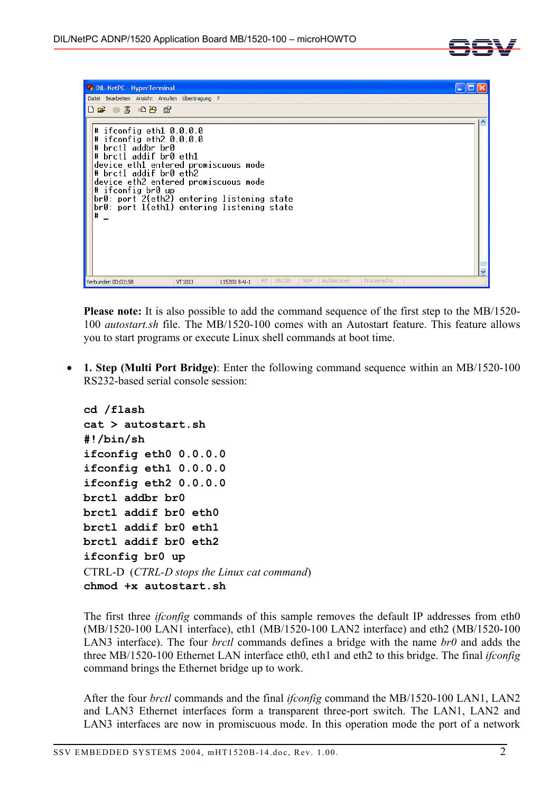



**Please note:** It is also possible to add the command sequence of the first step to the MB/1520- 100 *autostart.sh* file. The MB/1520-100 comes with an Autostart feature. This feature allows you to start programs or execute Linux shell commands at boot time.

• **1. Step (Multi Port Bridge)**: Enter the following command sequence within an MB/1520-100 RS232-based serial console session:

```
cd /flash 
cat > autostart.sh 
#!/bin/sh 
ifconfig eth0 0.0.0.0 
ifconfig eth1 0.0.0.0 
ifconfig eth2 0.0.0.0 
brctl addbr br0 
brctl addif br0 eth0 
brctl addif br0 eth1 
brctl addif br0 eth2 
ifconfig br0 up 
CTRL-D (CTRL-D stops the Linux cat command) 
chmod +x autostart.sh
```
The first three *ifconfig* commands of this sample removes the default IP addresses from eth0 (MB/1520-100 LAN1 interface), eth1 (MB/1520-100 LAN2 interface) and eth2 (MB/1520-100 LAN3 interface). The four *brctl* commands defines a bridge with the name *br0* and adds the three MB/1520-100 Ethernet LAN interface eth0, eth1 and eth2 to this bridge. The final *ifconfig* command brings the Ethernet bridge up to work.

After the four *brctl* commands and the final *ifconfig* command the MB/1520-100 LAN1, LAN2 and LAN3 Ethernet interfaces form a transparent three-port switch. The LAN1, LAN2 and LAN3 interfaces are now in promiscuous mode. In this operation mode the port of a network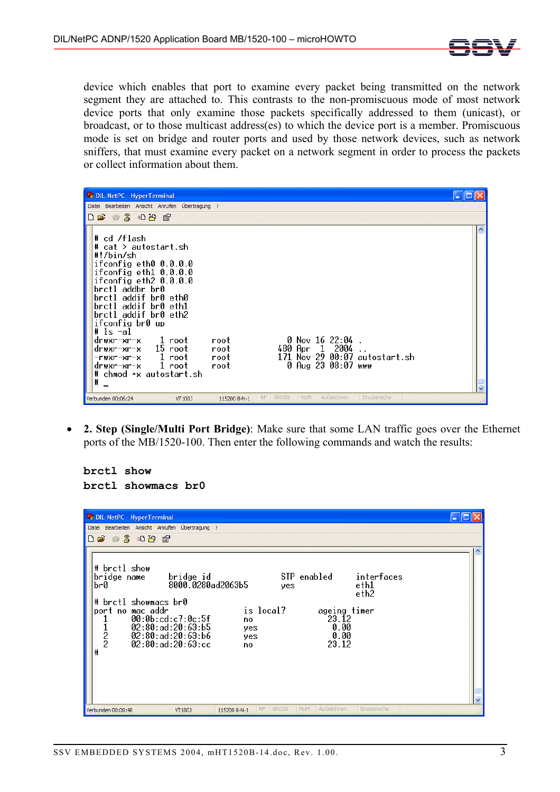

device which enables that port to examine every packet being transmitted on the network segment they are attached to. This contrasts to the non-promiscuous mode of most network device ports that only examine those packets specifically addressed to them (unicast), or broadcast, or to those multicast address(es) to which the device port is a member. Promiscuous mode is set on bridge and router ports and used by those network devices, such as network sniffers, that must examine every packet on a network segment in order to process the packets or collect information about them.

| DIL-NetPC - HyperTerminal                                                                                                                                                                                                                                                                                                                                                                                                                                                                                     |  |
|---------------------------------------------------------------------------------------------------------------------------------------------------------------------------------------------------------------------------------------------------------------------------------------------------------------------------------------------------------------------------------------------------------------------------------------------------------------------------------------------------------------|--|
| Datei Bearbeiten Ansicht Anrufen Übertragung ?                                                                                                                                                                                                                                                                                                                                                                                                                                                                |  |
| $D \rightarrow \mathbb{Z}$ and $E$                                                                                                                                                                                                                                                                                                                                                                                                                                                                            |  |
| # cd /flash<br># cat > autostart.sh<br>#!/bin/sh<br>ifconfig eth0 0.0.0.0<br>ifconfig eth1 0.0.0.0<br>ifconfig eth2 0.0.0.0<br>brctl addbr br0<br>brctl addif br0 eth0<br>brctl addif br0 eth1<br>brctl addif br0 eth2<br>ifconfig br0 up<br># ls -al<br>$0$ Nov 16 22:04.<br>l root<br>root<br>drwxr-xr-x<br>480 Apr 1 2004<br>drwxr-xr-x 15 root<br>root<br>171 Nov 29 00:07 autostart.sh<br>-rwxr-xr-x 1 root<br>root –<br>0 Aug 23 08:07 www<br>drwxr-xr-x 1 root<br>root<br># chmod +x autostart.sh<br># |  |
| <b>GROSS</b><br><b>NUM</b><br>Aufzeichnen<br>Druckerecho<br><b>RF</b><br>Verbunden 00:06:24<br>115200 8-N-1<br>VT100J                                                                                                                                                                                                                                                                                                                                                                                         |  |

• **2. Step (Single/Multi Port Bridge)**: Make sure that some LAN traffic goes over the Ethernet ports of the MB/1520-100. Then enter the following commands and watch the results:

**brctl show brctl showmacs br0** 

| DIL-NetPC - HyperTerminal                                                                                                                                                                                                                                                                                                                                                      |  |
|--------------------------------------------------------------------------------------------------------------------------------------------------------------------------------------------------------------------------------------------------------------------------------------------------------------------------------------------------------------------------------|--|
| Datei Bearbeiten Ansicht Anrufen Übertragung ?                                                                                                                                                                                                                                                                                                                                 |  |
| $D \ncong \ncong \ncong \ncong \ncong \ncong$                                                                                                                                                                                                                                                                                                                                  |  |
| # brctl show<br>STP enabled<br>interfaces<br>bridge name<br>bridge id<br>8000.0280ad2063b5<br> br0<br>eth1<br>yes<br>eth2<br># brctl showmacs br0<br>is local?<br>port no mac addr<br>ageing timer<br>00:0b:cd: c7:0c:5f<br>23.12<br>1<br>no<br>$\frac{1}{2}$<br>02:80:ad:20:63:b5<br>0.00<br>yes<br>02:80:ad:20:63:66<br>0.00<br>yes<br>02:80:ad:20:63:cc<br>23.12<br>no<br>₩ |  |
| Aufzeichnen<br><b>NUM</b><br>Druckerecho<br><b>GROSS</b><br>RF.<br>Verbunden 00:00:48<br>VT100J<br>115200 8-N-1                                                                                                                                                                                                                                                                |  |